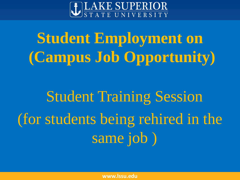

# **Student Employment on (Campus Job Opportunity)**

# Student Training Session (for students being rehired in the same job )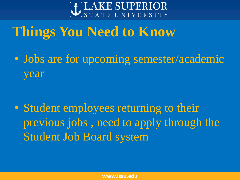

# **Things You Need to Know**

• Jobs are for upcoming semester/academic year

• Student employees returning to their previous jobs , need to apply through the Student Job Board system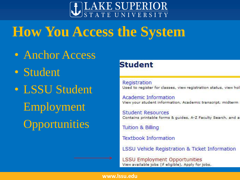

# **How You Access the System**

- Anchor Access
- Student
- LSSU Student Employment **Opportunities**

### **Student**

Registration Used to register for classes, view registration status, view hol

Academic Information View your student information, Academic transcript, midterm

**Student Resources** Contains printable forms & guides, A-Z Faculty Search, and a

**Tuition & Billing** 

**Textbook Information** 

LSSU Vehicle Registration & Ticket Information

**LSSU Employment Opportunities** View available jobs (if eligible), Apply for jobs.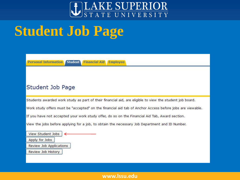

# **Student Job Page**

**Personal Information Student Financial Aid Employee** 

#### Student Job Page

Students awarded work study as part of their financial aid, are eligible to view the student job board.

Work study offers must be "accepted" on the financial aid tab of Anchor Access before jobs are viewable.

If you have not accepted your work study offer, do so on the Financial Aid Tab, Award section.

View the jobs before applying for a job, to obtain the necessary Job Department and ID Number.

**View Student Jobs** 

Apply for Jobs

**Review Job Applications** 

Review Job History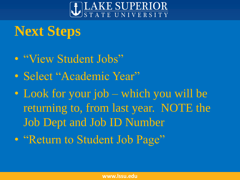

# **Next Steps**

- "View Student Jobs"
- Select "Academic Year"
- Look for your job which you will be returning to, from last year. NOTE the Job Dept and Job ID Number
- "Return to Student Job Page"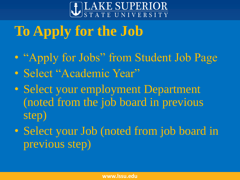

# **To Apply for the Job**

- "Apply for Jobs" from Student Job Page
- Select "Academic Year"
- Select your employment Department (noted from the job board in previous step)
- Select your Job (noted from job board in previous step)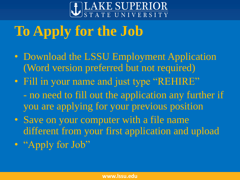

# **To Apply for the Job**

- Download the LSSU Employment Application (Word version preferred but not required)
- Fill in your name and just type "REHIRE"
	- no need to fill out the application any further if you are applying for your previous position
- Save on your computer with a file name different from your first application and upload
- "Apply for Job"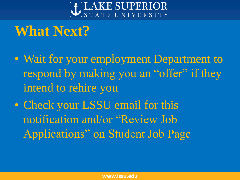

# **What Next?**

- Wait for your employment Department to respond by making you an "offer" if they intend to rehire you
- Check your LSSU email for this notification and/or "Review Job Applications" on Student Job Page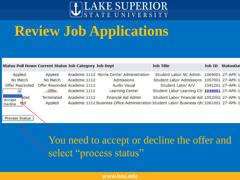

# **Review Job Applications**

**Process Status** 

| <b>Status Pull Down Current Status Job Category Job Dept</b> |                               |                                                                                          |                                            | <b>Job Title</b>                             | Job ID | <b>StatusDat</b> |
|--------------------------------------------------------------|-------------------------------|------------------------------------------------------------------------------------------|--------------------------------------------|----------------------------------------------|--------|------------------|
| Applied                                                      | Applied                       |                                                                                          | Academic 1112 Norris Center Administration | Student Labor NC Admin 1069001 27-APR-1      |        |                  |
| No Match                                                     | No Match                      | Academic 1112                                                                            | Admissions                                 | Student Labor Admissions 1057001 27-APR-1    |        |                  |
| <b>Offer Rescinded</b>                                       | Offer Rescinded Academic 1112 |                                                                                          | <b>Audio Visual</b>                        | Student Labor A/V 1041201 27-APR-1           |        |                  |
|                                                              | Offer                         | Academic 1112                                                                            | Learning Center                            | Student Labor Learning Ctr 1048001 27-APR-1  |        |                  |
| ated                                                         | Terminated                    | Academic 1112                                                                            | <b>Financial Aid Admin</b>                 | Student Labor Financial Aid 1052002 27-APR-1 |        |                  |
| Accept<br>Decline<br>Æq                                      | Applied                       | Academic 1112 Business Office Administration Student Labor Business Ofc 1061001 27-APR-1 |                                            |                                              |        |                  |

You need to accept or decline the offer and select "process status"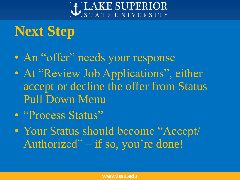

# **Next Step**

- An "offer" needs your response
- At "Review Job Applications", either accept or decline the offer from Status Pull Down Menu
- "Process Status"
- Your Status should become "Accept/ Authorized" – if so, you're done!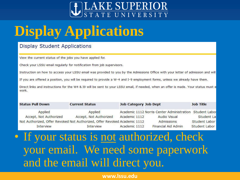

# **Display Applications**

#### **Display Student Applications**

View the current status of the jobs you have applied for.

Check your LSSU email regularly for notification from job supervisors.

Instruction on how to access your LSSU email was provided to you by the Admissions Office with your letter of admission and will

If you are offered a position, you will be required to provide a W-4 and I-9 employment forms, unless we already have them.

Direct links and instructions for the W4 & I9 will be sent to your LSSU email, if needed, when an offer is made. Your status must e work.

| <b>Status Pull Down</b> | <b>Current Status</b>                                                     | <b>Job Category Job Dept</b> |                                                          | <b>Job Title</b> |
|-------------------------|---------------------------------------------------------------------------|------------------------------|----------------------------------------------------------|------------------|
| Applied                 | Applied                                                                   |                              | Academic 1112 Norris Center Administration Student Labor |                  |
| Accept, Not Authorized  | Accept, Not Authorized                                                    | Academic 1112                | <b>Audio Visual</b>                                      | Student La       |
|                         | Not Authorized, Offer Revoked Not Authorized, Offer Revoked Academic 1112 |                              | Admissions                                               | Student Labor    |
| <b>Interview</b>        | Interview                                                                 | Academic 1112                | <b>Financial Aid Admin</b>                               | Student Labor    |

## • If your status is not authorized, check your email. We need some paperwork and the email will direct you.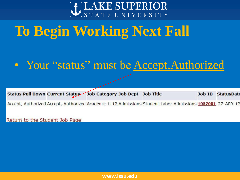

# **To Begin Working Next Fall**

## • Your "status" must be Accept, Authorized

| Status Pull Down Current Status Job Category Job Dept Job Title |  |  |  | Job ID StatusDate |
|-----------------------------------------------------------------|--|--|--|-------------------|
|-----------------------------------------------------------------|--|--|--|-------------------|

Accept, Authorized Accept, Authorized Academic 1112 Admissions Student Labor Admissions 1057001 27-APR-12

Return to the Student Job Page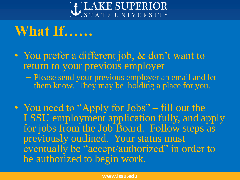

# **What If……**

- You prefer a different job, & don't want to return to your previous employer – Please send your previous employer an email and let
	- them know. They may be holding a place for you.
- You need to "Apply for Jobs" fill out the LSSU employment application fully, and apply for jobs from the Job Board. Follow steps as previously outlined. Your status must eventually be "accept/authorized" in order to be authorized to begin work.